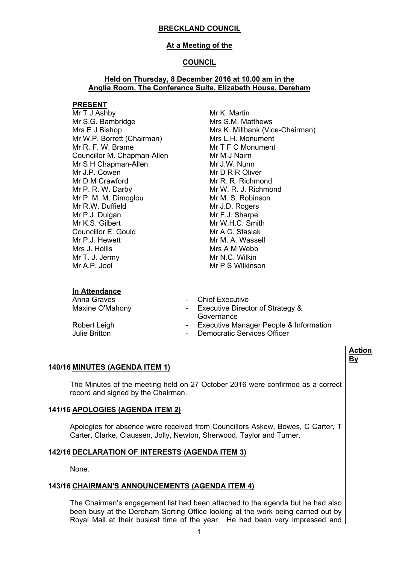### **At a Meeting of the**

### **COUNCIL**

### **Held on Thursday, 8 December 2016 at 10.00 am in the Anglia Room, The Conference Suite, Elizabeth House, Dereham**

#### **PRESENT**

Mr T J Ashby Mr S.G. Bambridge Mrs E J Bishop Mr W.P. Borrett (Chairman) Mr R. F. W. Brame Councillor M. Chapman-Allen Mr S H Chapman-Allen Mr J.P. Cowen Mr D M Crawford Mr P. R. W. Darby Mr P. M. M. Dimoglou Mr R.W. Duffield Mr P.J. Duigan Mr K.S. Gilbert Councillor E. Gould Mr P.J. Hewett Mrs J. Hollis Mr T. J. Jermy Mr A.P. Joel

Mr K. Martin Mrs S.M. Matthews Mrs K. Millbank (Vice-Chairman) Mrs L.H. Monument Mr T F C Monument Mr M J Nairn Mr J.W. Nunn Mr D R R Oliver Mr R. R. Richmond Mr W. R. J. Richmond Mr M. S. Robinson Mr J.D. Rogers Mr F.J. Sharpe Mr W.H.C. Smith Mr A.C. Stasiak Mr M. A. Wassell Mrs A M Webb Mr N.C. Wilkin Mr P S Wilkinson

### **In Attendance**

- Anna Graves **Anna Graves 1988**
- Maxine O'Mahony **Ack Access** Executive Director of Strategy & Governance
- Robert Leigh  **Executive Manager People & Information**<br>
Julie Britton<br>
Lulie Britton
	- Democratic Services Officer

## **140/16 MINUTES (AGENDA ITEM 1)**

The Minutes of the meeting held on 27 October 2016 were confirmed as a correct record and signed by the Chairman.

### **141/16 APOLOGIES (AGENDA ITEM 2)**

Apologies for absence were received from Councillors Askew, Bowes, C Carter, T Carter, Clarke, Claussen, Jolly, Newton, Sherwood, Taylor and Turner.

## **142/16 DECLARATION OF INTERESTS (AGENDA ITEM 3)**

None.

### **143/16 CHAIRMAN'S ANNOUNCEMENTS (AGENDA ITEM 4)**

The Chairman's engagement list had been attached to the agenda but he had also been busy at the Dereham Sorting Office looking at the work being carried out by Royal Mail at their busiest time of the year. He had been very impressed and

**Action By**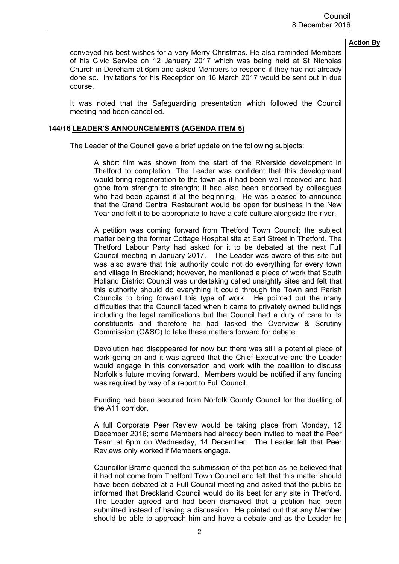conveyed his best wishes for a very Merry Christmas. He also reminded Members of his Civic Service on 12 January 2017 which was being held at St Nicholas Church in Dereham at 6pm and asked Members to respond if they had not already done so. Invitations for his Reception on 16 March 2017 would be sent out in due course.

It was noted that the Safeguarding presentation which followed the Council meeting had been cancelled.

### **144/16 LEADER'S ANNOUNCEMENTS (AGENDA ITEM 5)**

The Leader of the Council gave a brief update on the following subjects:

A short film was shown from the start of the Riverside development in Thetford to completion. The Leader was confident that this development would bring regeneration to the town as it had been well received and had gone from strength to strength; it had also been endorsed by colleagues who had been against it at the beginning. He was pleased to announce that the Grand Central Restaurant would be open for business in the New Year and felt it to be appropriate to have a café culture alongside the river.

A petition was coming forward from Thetford Town Council; the subject matter being the former Cottage Hospital site at Earl Street in Thetford. The Thetford Labour Party had asked for it to be debated at the next Full Council meeting in January 2017. The Leader was aware of this site but was also aware that this authority could not do everything for every town and village in Breckland; however, he mentioned a piece of work that South Holland District Council was undertaking called unsightly sites and felt that this authority should do everything it could through the Town and Parish Councils to bring forward this type of work. He pointed out the many difficulties that the Council faced when it came to privately owned buildings including the legal ramifications but the Council had a duty of care to its constituents and therefore he had tasked the Overview & Scrutiny Commission (O&SC) to take these matters forward for debate.

Devolution had disappeared for now but there was still a potential piece of work going on and it was agreed that the Chief Executive and the Leader would engage in this conversation and work with the coalition to discuss Norfolk's future moving forward. Members would be notified if any funding was required by way of a report to Full Council.

Funding had been secured from Norfolk County Council for the duelling of the A11 corridor.

A full Corporate Peer Review would be taking place from Monday, 12 December 2016; some Members had already been invited to meet the Peer Team at 6pm on Wednesday, 14 December. The Leader felt that Peer Reviews only worked if Members engage.

Councillor Brame queried the submission of the petition as he believed that it had not come from Thetford Town Council and felt that this matter should have been debated at a Full Council meeting and asked that the public be informed that Breckland Council would do its best for any site in Thetford. The Leader agreed and had been dismayed that a petition had been submitted instead of having a discussion. He pointed out that any Member should be able to approach him and have a debate and as the Leader he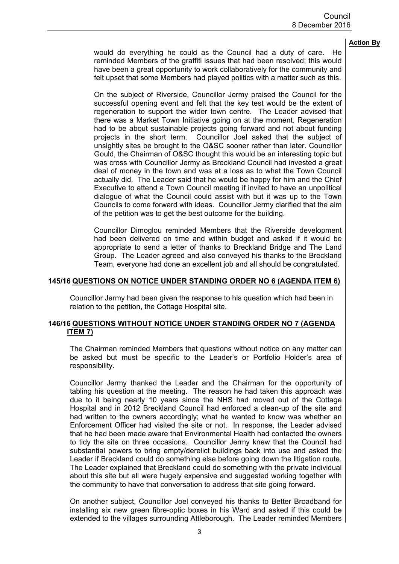would do everything he could as the Council had a duty of care. He reminded Members of the graffiti issues that had been resolved; this would have been a great opportunity to work collaboratively for the community and felt upset that some Members had played politics with a matter such as this.

On the subject of Riverside, Councillor Jermy praised the Council for the successful opening event and felt that the key test would be the extent of regeneration to support the wider town centre. The Leader advised that there was a Market Town Initiative going on at the moment. Regeneration had to be about sustainable projects going forward and not about funding projects in the short term. Councillor Joel asked that the subject of unsightly sites be brought to the O&SC sooner rather than later. Councillor Gould, the Chairman of O&SC thought this would be an interesting topic but was cross with Councillor Jermy as Breckland Council had invested a great deal of money in the town and was at a loss as to what the Town Council actually did. The Leader said that he would be happy for him and the Chief Executive to attend a Town Council meeting if invited to have an unpolitical dialogue of what the Council could assist with but it was up to the Town Councils to come forward with ideas. Councillor Jermy clarified that the aim of the petition was to get the best outcome for the building.

Councillor Dimoglou reminded Members that the Riverside development had been delivered on time and within budget and asked if it would be appropriate to send a letter of thanks to Breckland Bridge and The Land Group. The Leader agreed and also conveyed his thanks to the Breckland Team, everyone had done an excellent job and all should be congratulated.

### **145/16 QUESTIONS ON NOTICE UNDER STANDING ORDER NO 6 (AGENDA ITEM 6)**

Councillor Jermy had been given the response to his question which had been in relation to the petition, the Cottage Hospital site.

### **146/16 QUESTIONS WITHOUT NOTICE UNDER STANDING ORDER NO 7 (AGENDA ITEM 7)**

The Chairman reminded Members that questions without notice on any matter can be asked but must be specific to the Leader's or Portfolio Holder's area of responsibility.

Councillor Jermy thanked the Leader and the Chairman for the opportunity of tabling his question at the meeting. The reason he had taken this approach was due to it being nearly 10 years since the NHS had moved out of the Cottage Hospital and in 2012 Breckland Council had enforced a clean-up of the site and had written to the owners accordingly; what he wanted to know was whether an Enforcement Officer had visited the site or not. In response, the Leader advised that he had been made aware that Environmental Health had contacted the owners to tidy the site on three occasions. Councillor Jermy knew that the Council had substantial powers to bring empty/derelict buildings back into use and asked the Leader if Breckland could do something else before going down the litigation route. The Leader explained that Breckland could do something with the private individual about this site but all were hugely expensive and suggested working together with the community to have that conversation to address that site going forward.

On another subject, Councillor Joel conveyed his thanks to Better Broadband for installing six new green fibre-optic boxes in his Ward and asked if this could be extended to the villages surrounding Attleborough. The Leader reminded Members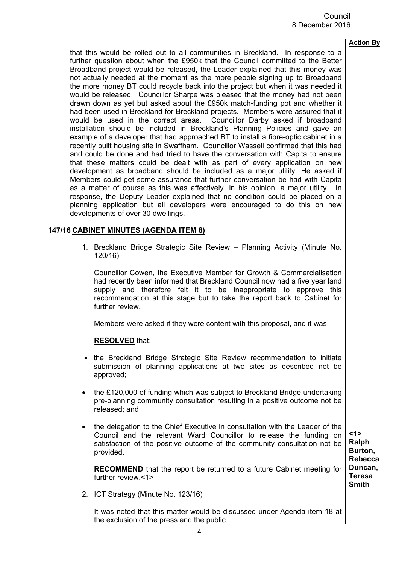that this would be rolled out to all communities in Breckland. In response to a further question about when the £950k that the Council committed to the Better Broadband project would be released, the Leader explained that this money was not actually needed at the moment as the more people signing up to Broadband the more money BT could recycle back into the project but when it was needed it would be released. Councillor Sharpe was pleased that the money had not been drawn down as yet but asked about the £950k match-funding pot and whether it had been used in Breckland for Breckland projects. Members were assured that it would be used in the correct areas. Councillor Darby asked if broadband installation should be included in Breckland's Planning Policies and gave an example of a developer that had approached BT to install a fibre-optic cabinet in a recently built housing site in Swaffham. Councillor Wassell confirmed that this had and could be done and had tried to have the conversation with Capita to ensure that these matters could be dealt with as part of every application on new development as broadband should be included as a major utility. He asked if Members could get some assurance that further conversation be had with Capita as a matter of course as this was affectively, in his opinion, a major utility. In response, the Deputy Leader explained that no condition could be placed on a planning application but all developers were encouraged to do this on new developments of over 30 dwellings.

### **147/16 CABINET MINUTES (AGENDA ITEM 8)**

1. Breckland Bridge Strategic Site Review – Planning Activity (Minute No. 120/16)

Councillor Cowen, the Executive Member for Growth & Commercialisation had recently been informed that Breckland Council now had a five year land supply and therefore felt it to be inappropriate to approve this recommendation at this stage but to take the report back to Cabinet for further review.

Members were asked if they were content with this proposal, and it was

### **RESOLVED** that:

- the Breckland Bridge Strategic Site Review recommendation to initiate submission of planning applications at two sites as described not be approved;
- the £120,000 of funding which was subject to Breckland Bridge undertaking pre-planning community consultation resulting in a positive outcome not be released; and
- the delegation to the Chief Executive in consultation with the Leader of the Council and the relevant Ward Councillor to release the funding on satisfaction of the positive outcome of the community consultation not be provided.

**RECOMMEND** that the report be returned to a future Cabinet meeting for further review.<1>

**<1> Ralph Burton, Rebecca Duncan, Teresa Smith**

2. ICT Strategy (Minute No. 123/16)

It was noted that this matter would be discussed under Agenda item 18 at the exclusion of the press and the public.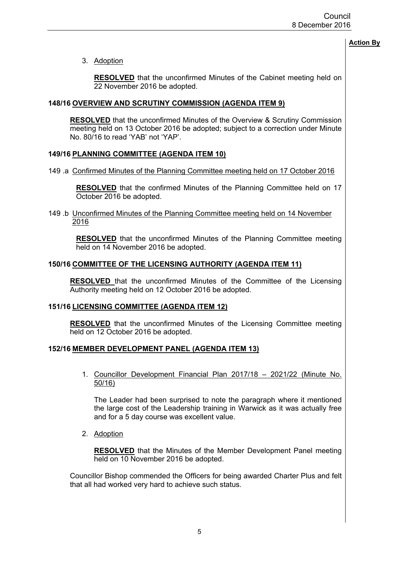3. Adoption

**RESOLVED** that the unconfirmed Minutes of the Cabinet meeting held on 22 November 2016 be adopted.

### **148/16 OVERVIEW AND SCRUTINY COMMISSION (AGENDA ITEM 9)**

**RESOLVED** that the unconfirmed Minutes of the Overview & Scrutiny Commission meeting held on 13 October 2016 be adopted; subject to a correction under Minute No. 80/16 to read 'YAB' not 'YAP'.

### **149/16 PLANNING COMMITTEE (AGENDA ITEM 10)**

149 .a Confirmed Minutes of the Planning Committee meeting held on 17 October 2016

**RESOLVED** that the confirmed Minutes of the Planning Committee held on 17 October 2016 be adopted.

149 .b Unconfirmed Minutes of the Planning Committee meeting held on 14 November 2016

**RESOLVED** that the unconfirmed Minutes of the Planning Committee meeting held on 14 November 2016 be adopted.

### **150/16 COMMITTEE OF THE LICENSING AUTHORITY (AGENDA ITEM 11)**

**RESOLVED** that the unconfirmed Minutes of the Committee of the Licensing Authority meeting held on 12 October 2016 be adopted.

### **151/16 LICENSING COMMITTEE (AGENDA ITEM 12)**

**RESOLVED** that the unconfirmed Minutes of the Licensing Committee meeting held on 12 October 2016 be adopted.

## **152/16 MEMBER DEVELOPMENT PANEL (AGENDA ITEM 13)**

1. Councillor Development Financial Plan 2017/18 – 2021/22 (Minute No. 50/16)

The Leader had been surprised to note the paragraph where it mentioned the large cost of the Leadership training in Warwick as it was actually free and for a 5 day course was excellent value.

2. Adoption

**RESOLVED** that the Minutes of the Member Development Panel meeting held on 10 November 2016 be adopted.

Councillor Bishop commended the Officers for being awarded Charter Plus and felt that all had worked very hard to achieve such status.